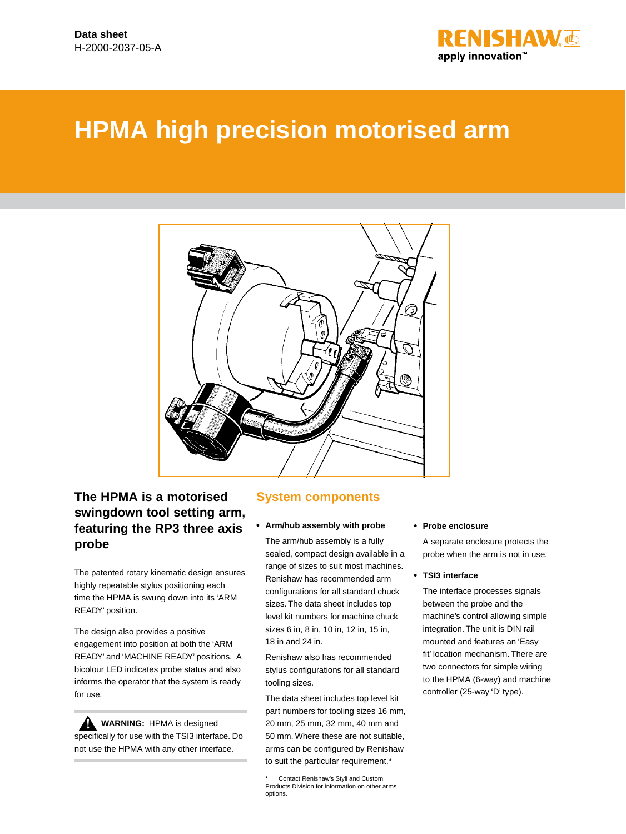

# **HPMA high precision motorised arm**



# **The HPMA is a motorised swingdown tool setting arm, featuring the RP3 three axis probe**

The patented rotary kinematic design ensures highly repeatable stylus positioning each time the HPMA is swung down into its 'ARM READY' position.

The design also provides a positive engagement into position at both the 'ARM READY' and 'MACHINE READY' positions. A bicolour LED indicates probe status and also informs the operator that the system is ready for use.

**WARNING:** HPMA is designed **!**specifically for use with the TSI3 interface. Do not use the HPMA with any other interface.

#### **System components**

#### **• Arm/hub assembly with probe**

The arm/hub assembly is a fully sealed, compact design available in a range of sizes to suit most machines. Renishaw has recommended arm configurations for all standard chuck sizes. The data sheet includes top level kit numbers for machine chuck sizes 6 in, 8 in, 10 in, 12 in, 15 in, 18 in and 24 in.

Renishaw also has recommended stylus configurations for all standard tooling sizes.

The data sheet includes top level kit part numbers for tooling sizes 16 mm, 20 mm, 25 mm, 32 mm, 40 mm and 50 mm. Where these are not suitable, arms can be configured by Renishaw to suit the particular requirement.\*

#### **• Probe enclosure**

A separate enclosure protects the probe when the arm is not in use.

#### **• TSI3 interface**

The interface processes signals between the probe and the machine's control allowing simple integration. The unit is DIN rail mounted and features an 'Easy fit' location mechanism. There are two connectors for simple wiring to the HPMA (6-way) and machine controller (25-way 'D' type).

Contact Renishaw's Styli and Custom Products Division for information on other arms options.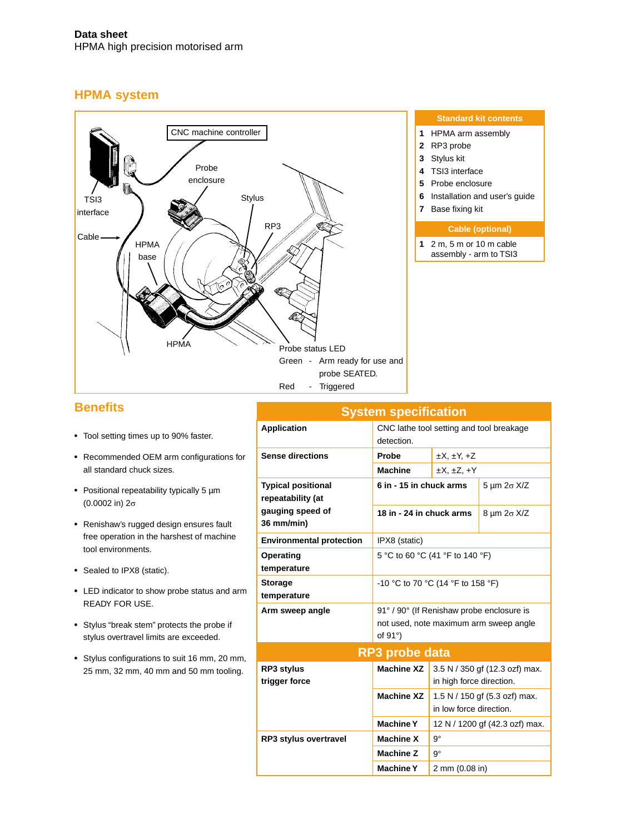### **HPMA system**



### **Benefits**

- • Tool setting times up to 90% faster.
- • Recommended OEM arm configurations for all standard chuck sizes.
- • Positional repeatability typically 5 µm (0.0002 in) 2σ
- • Renishaw's rugged design ensures fault free operation in the harshest of machine tool environments.
- Sealed to IPX8 (static).
- • LED indicator to show probe status and arm READY FOR USE.
- • Stylus "break stem" protects the probe if stylus overtravel limits are exceeded.
- • Stylus configurations to suit 16 mm, 20 mm, 25 mm, 32 mm, 40 mm and 50 mm tooling.

|                                                | <b>System specification</b>                                                                            |                                                            |                       |  |  |  |
|------------------------------------------------|--------------------------------------------------------------------------------------------------------|------------------------------------------------------------|-----------------------|--|--|--|
| <b>Application</b>                             | CNC lathe tool setting and tool breakage<br>detection.                                                 |                                                            |                       |  |  |  |
| <b>Sense directions</b>                        | Probe                                                                                                  | $\pm X$ , $\pm Y$ , $\pm Z$                                |                       |  |  |  |
|                                                | <b>Machine</b>                                                                                         | $\pm X$ , $\pm Z$ , $\pm Y$                                |                       |  |  |  |
| <b>Typical positional</b><br>repeatability (at | 6 in - 15 in chuck arms                                                                                | $5 \mu m 2\sigma X/Z$                                      |                       |  |  |  |
| gauging speed of<br>36 mm/min)                 | 18 in - 24 in chuck arms                                                                               |                                                            | $8 \mu m 2\sigma X/Z$ |  |  |  |
| <b>Environmental protection</b>                | IPX8 (static)                                                                                          |                                                            |                       |  |  |  |
| Operating<br>temperature                       | 5 °C to 60 °C (41 °F to 140 °F)                                                                        |                                                            |                       |  |  |  |
| <b>Storage</b><br>temperature                  | -10 °C to 70 °C (14 °F to 158 °F)                                                                      |                                                            |                       |  |  |  |
| Arm sweep angle                                | 91° / 90° (If Renishaw probe enclosure is<br>not used, note maximum arm sweep angle<br>of $91^\circ$ ) |                                                            |                       |  |  |  |
|                                                | RP3 probe data                                                                                         |                                                            |                       |  |  |  |
| <b>RP3 stylus</b><br>trigger force             | <b>Machine XZ</b>                                                                                      | 3.5 N / 350 gf (12.3 ozf) max.<br>in high force direction. |                       |  |  |  |
|                                                | <b>Machine XZ</b>                                                                                      | 1.5 N / 150 gf (5.3 ozf) max.<br>in low force direction.   |                       |  |  |  |
|                                                | <b>Machine Y</b>                                                                                       | 12 N / 1200 gf (42.3 ozf) max.                             |                       |  |  |  |
| <b>RP3 stylus overtravel</b>                   | $9^{\circ}$<br><b>Machine X</b>                                                                        |                                                            |                       |  |  |  |
|                                                | $9^{\circ}$<br><b>Machine Z</b>                                                                        |                                                            |                       |  |  |  |
|                                                | <b>Machine Y</b><br>2 mm (0.08 in)                                                                     |                                                            |                       |  |  |  |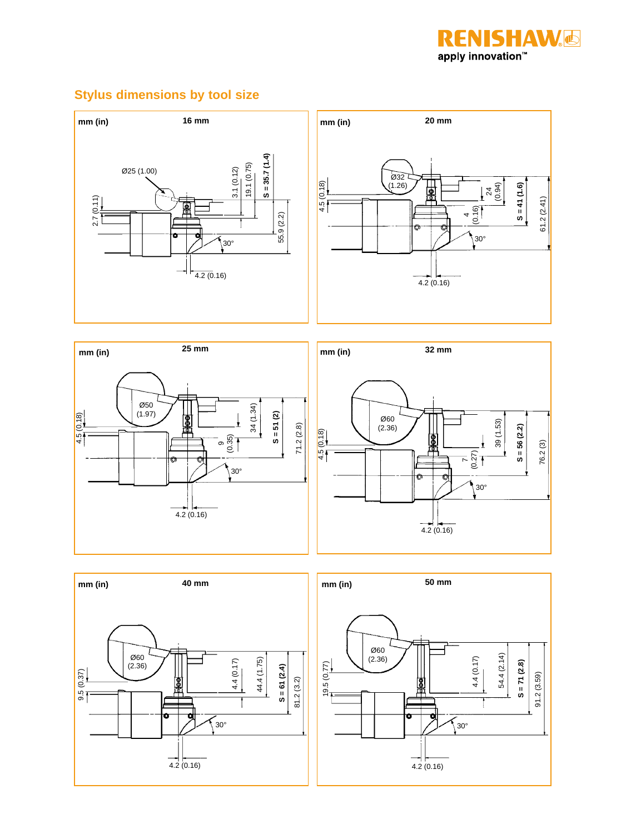

# **Stylus dimensions by tool size**









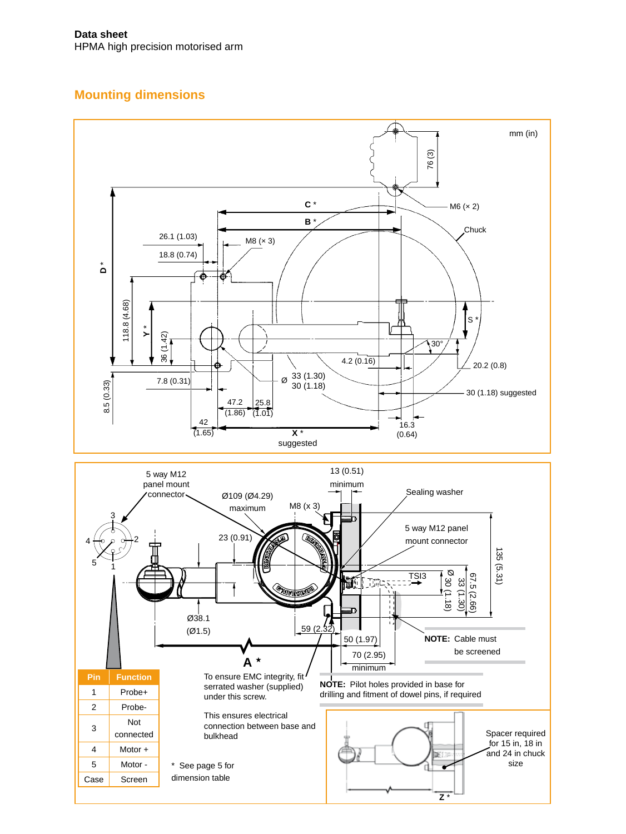# **Mounting dimensions**

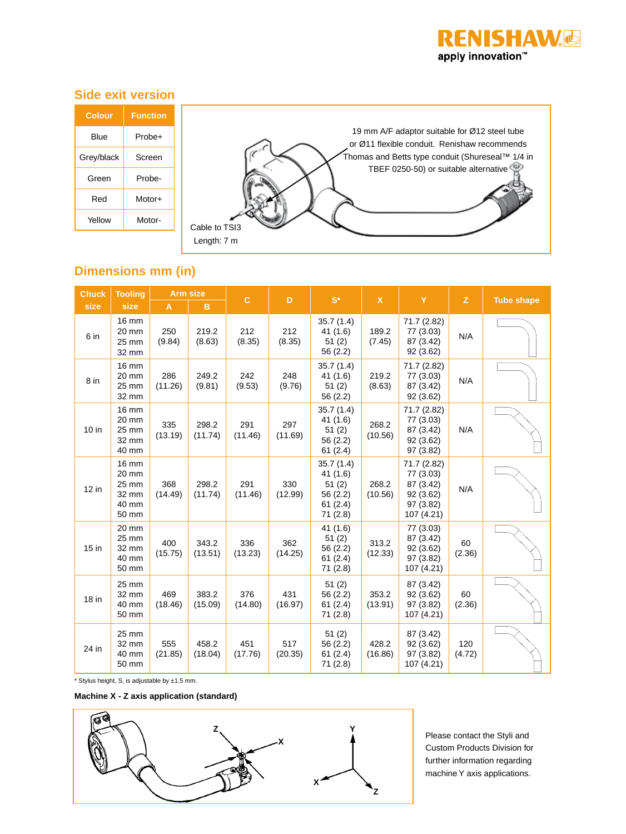

# **Side exit version**

| <b>Colour</b> | <b>Function</b> |                                                                                               |
|---------------|-----------------|-----------------------------------------------------------------------------------------------|
| <b>Blue</b>   | Probe+          | 19 mm A/F adaptor suitable for Ø12 steel tube<br>or Ø11 flexible conduit. Renishaw recommends |
| Grey/black    | Screen          | Thomas and Betts type conduit (Shureseal™ 1/4 in                                              |
| Green         | Probe-          | TBEF 0250-50) or suitable alternative                                                         |
| Red           | Motor+          |                                                                                               |
| Yellow        | Motor-          | Cable to TSI3                                                                                 |
|               |                 | Length: 7 m                                                                                   |

# **Dimensions mm (in)**

| <b>Chuck</b>    | <b>Tooling</b>                                     | <b>Arm size</b> |                  | $\mathbf{C}$   | D              | $S^*$                                                            | $\mathsf{X}$     | Y                                                                             | $\mathbf{z}$  |                   |  |
|-----------------|----------------------------------------------------|-----------------|------------------|----------------|----------------|------------------------------------------------------------------|------------------|-------------------------------------------------------------------------------|---------------|-------------------|--|
| size            | size                                               | A               | B                |                |                |                                                                  |                  |                                                                               |               | <b>Tube shape</b> |  |
| 6 in            | 16 mm<br>20 mm<br>25 mm<br>32 mm                   | 250<br>(9.84)   | 219.2<br>(8.63)  | 212<br>(8.35)  | 212<br>(8.35)  | 35.7(1.4)<br>41 (1.6)<br>51(2)<br>56 (2.2)                       | 189.2<br>(7.45)  | 71.7 (2.82)<br>77 (3.03)<br>87 (3.42)<br>92(3.62)                             | N/A           |                   |  |
| 8 <sub>in</sub> | 16 mm<br>20 mm<br>25 mm<br>32 mm                   | 286<br>(11.26)  | 249.2<br>(9.81)  | 242<br>(9.53)  | 248<br>(9.76)  | 35.7(1.4)<br>41 (1.6)<br>51(2)<br>56 (2.2)                       | 219.2<br>(8.63)  | 71.7 (2.82)<br>77 (3.03)<br>87 (3.42)<br>92 (3.62)                            | N/A           |                   |  |
| 10 in           | 16 mm<br>20 mm<br>25 mm<br>32 mm<br>40 mm          | 335<br>(13.19)  | 298.2<br>(11.74) | 291<br>(11.46) | 297<br>(11.69) | 35.7(1.4)<br>41(1.6)<br>51(2)<br>56 (2.2)<br>61(2.4)             | 268.2<br>(10.56) | 71.7 (2.82)<br>77 (3.03)<br>87 (3.42)<br>92(3.62)<br>97 (3.82)                | N/A           |                   |  |
| 12 in           | 16 mm<br>20 mm<br>25 mm<br>32 mm<br>40 mm<br>50 mm | 368<br>(14.49)  | 298.2<br>(11.74) | 291<br>(11.46) | 330<br>(12.99) | 35.7(1.4)<br>41 (1.6)<br>51(2)<br>56 (2.2)<br>61(2.4)<br>71(2.8) | 268.2<br>(10.56) | 71.7 (2.82)<br>77 (3.03)<br>87 (3.42)<br>92 (3.62)<br>97 (3.82)<br>107 (4.21) | N/A           |                   |  |
| 15 in           | 20 mm<br>25 mm<br>32 mm<br>40 mm<br>50 mm          | 400<br>(15.75)  | 343.2<br>(13.51) | 336<br>(13.23) | 362<br>(14.25) | 41 (1.6)<br>51(2)<br>56 (2.2)<br>61(2.4)<br>71(2.8)              | 313.2<br>(12.33) | 77 (3.03)<br>87 (3.42)<br>92 (3.62)<br>97 (3.82)<br>107 (4.21)                | 60<br>(2.36)  |                   |  |
| 18 in           | 25 mm<br>32 mm<br>40 mm<br>50 mm                   | 469<br>(18.46)  | 383.2<br>(15.09) | 376<br>(14.80) | 431<br>(16.97) | 51(2)<br>56 (2.2)<br>61(2.4)<br>71 (2.8)                         | 353.2<br>(13.91) | 87 (3.42)<br>92 (3.62)<br>97 (3.82)<br>107 (4.21)                             | 60<br>(2.36)  |                   |  |
| 24 in           | 25 mm<br>32 mm<br>40 mm<br>50 mm                   | 555<br>(21.85)  | 458.2<br>(18.04) | 451<br>(17.76) | 517<br>(20.35) | 51(2)<br>56 (2.2)<br>61(2.4)<br>71(2.8)                          | 428.2<br>(16.86) | 87 (3.42)<br>92 (3.62)<br>97 (3.82)<br>107 (4.21)                             | 120<br>(4.72) |                   |  |

\* Stylus height, S, is adjustable by ±1.5 mm.

**Machine X - Z axis application (standard)**



Please contact the Styli and Custom Products Division for further information regarding machine Y axis applications.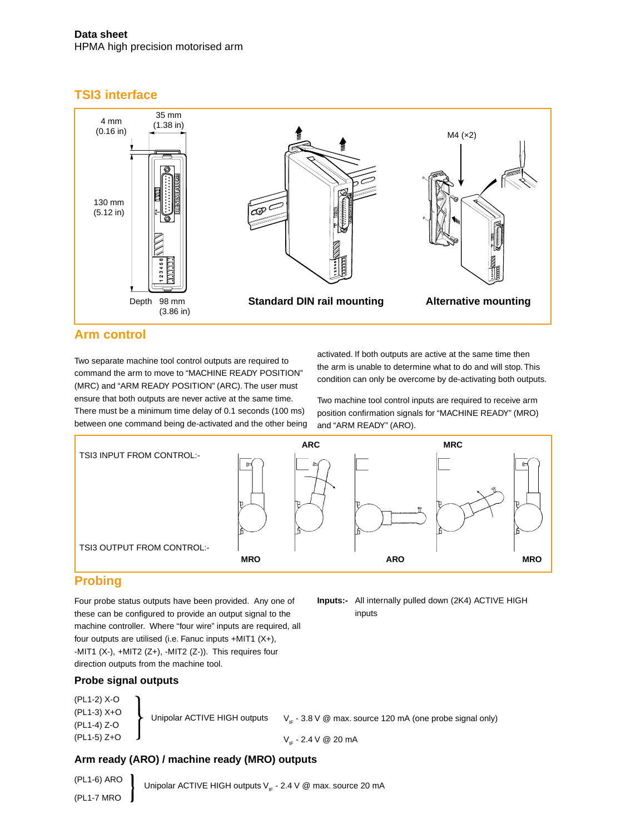# **TSI3 interface**



### **Arm control**

Two separate machine tool control outputs are required to command the arm to move to "MACHINE READY POSITION" (MRC) and "ARM READY POSITION" (ARC). The user must ensure that both outputs are never active at the same time. There must be a minimum time delay of 0.1 seconds (100 ms) between one command being de-activated and the other being activated. If both outputs are active at the same time then the arm is unable to determine what to do and will stop. This condition can only be overcome by de-activating both outputs.

Two machine tool control inputs are required to receive arm position confirmation signals for "MACHINE READY" (MRO) and "ARM READY" (ARO).

**Inputs:-** All internally pulled down (2K4) ACTIVE HIGH

inputs



# **Probing**

Four probe status outputs have been provided. Any one of these can be configured to provide an output signal to the machine controller. Where "four wire" inputs are required, all four outputs are utilised (i.e. Fanuc inputs +MIT1 (X+), -MIT1 (X-), +MIT2 (Z+), -MIT2 (Z-)). This requires four direction outputs from the machine tool.

### **Probe signal outputs**

| (PL1-2) X-O                  |                              |                                                                      |
|------------------------------|------------------------------|----------------------------------------------------------------------|
| $(PL1-3)$ X+O<br>(PL1-4) Z-O | Unipolar ACTIVE HIGH outputs | $V_{\text{in}}$ - 3.8 V @ max. source 120 mA (one probe signal only) |
| $(PL1-5)$ $Z+O$              |                              | $V_{12} - 2.4 V @ 20 mA$                                             |

### **Arm ready (ARO) / machine ready (MRO) outputs**

� (PL1-6) ARO (PL1-7 MRO Unipolar ACTIVE HIGH outputs  $V_{IF}$  - 2.4 V @ max. source 20 mA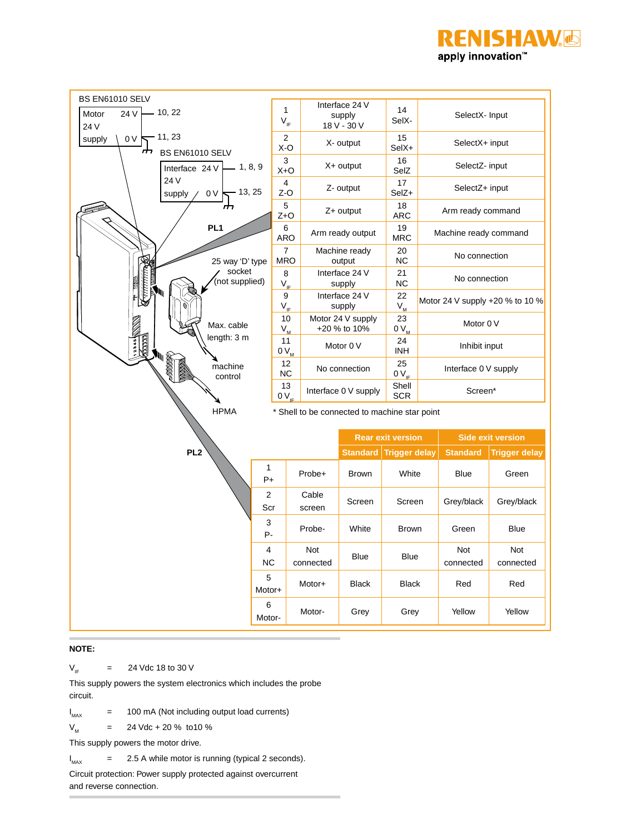



#### **NOTE:**

 $V_{IF}$  = 24 Vdc 18 to 30 V

This supply powers the system electronics which includes the probe circuit.

 $I_{MAX}$ 100 mA (Not including output load currents)

 $V_{M}$  = 24 Vdc + 20 % to 10 %

This supply powers the motor drive.

 $I_{MAX}$  $=$  2.5 A while motor is running (typical 2 seconds).

Circuit protection: Power supply protected against overcurrent and reverse connection.